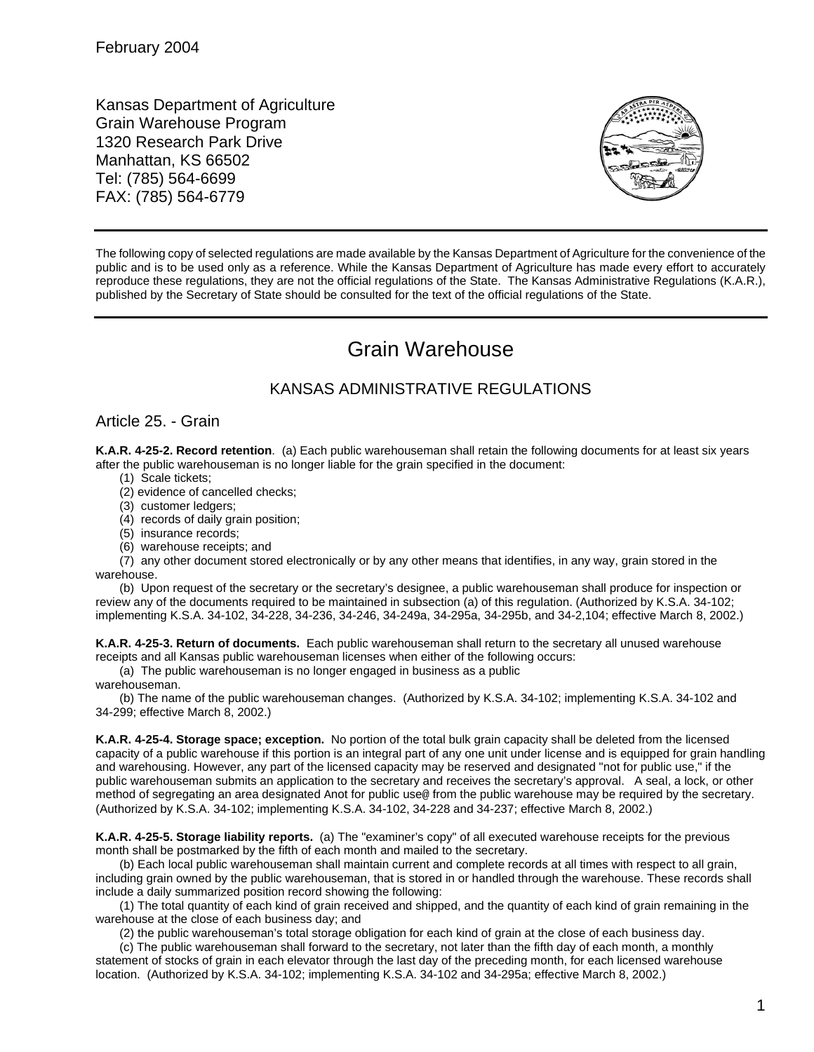Kansas Department of Agriculture Grain Warehouse Program 1320 Research Park Drive Manhattan, KS 66502 Tel: (785) 564-6699 FAX: (785) 564-6779



The following copy of selected regulations are made available by the Kansas Department of Agriculture for the convenience of the public and is to be used only as a reference. While the Kansas Department of Agriculture has made every effort to accurately reproduce these regulations, they are not the official regulations of the State. The Kansas Administrative Regulations (K.A.R.), published by the Secretary of State should be consulted for the text of the official regulations of the State.

## Grain Warehouse

## KANSAS ADMINISTRATIVE REGULATIONS

## Article 25. - Grain

**K.A.R. 4-25-2. Record retention**. (a) Each public warehouseman shall retain the following documents for at least six years after the public warehouseman is no longer liable for the grain specified in the document:

- (1) Scale tickets;
- (2) evidence of cancelled checks;
- (3) customer ledgers;
- (4) records of daily grain position;
- (5) insurance records;
- (6) warehouse receipts; and

(7) any other document stored electronically or by any other means that identifies, in any way, grain stored in the warehouse.

(b) Upon request of the secretary or the secretary's designee, a public warehouseman shall produce for inspection or review any of the documents required to be maintained in subsection (a) of this regulation. (Authorized by K.S.A. 34-102; implementing K.S.A. 34-102, 34-228, 34-236, 34-246, 34-249a, 34-295a, 34-295b, and 34-2,104; effective March 8, 2002.)

**K.A.R. 4-25-3. Return of documents.** Each public warehouseman shall return to the secretary all unused warehouse receipts and all Kansas public warehouseman licenses when either of the following occurs:

(a) The public warehouseman is no longer engaged in business as a public

warehouseman.

(b) The name of the public warehouseman changes. (Authorized by K.S.A. 34-102; implementing K.S.A. 34-102 and 34-299; effective March 8, 2002.)

**K.A.R. 4-25-4. Storage space; exception.** No portion of the total bulk grain capacity shall be deleted from the licensed capacity of a public warehouse if this portion is an integral part of any one unit under license and is equipped for grain handling and warehousing. However, any part of the licensed capacity may be reserved and designated "not for public use," if the public warehouseman submits an application to the secretary and receives the secretary's approval. A seal, a lock, or other method of segregating an area designated Anot for public use@ from the public warehouse may be required by the secretary. (Authorized by K.S.A. 34-102; implementing K.S.A. 34-102, 34-228 and 34-237; effective March 8, 2002.)

**K.A.R. 4-25-5. Storage liability reports.** (a) The "examiner's copy" of all executed warehouse receipts for the previous month shall be postmarked by the fifth of each month and mailed to the secretary.

(b) Each local public warehouseman shall maintain current and complete records at all times with respect to all grain, including grain owned by the public warehouseman, that is stored in or handled through the warehouse. These records shall include a daily summarized position record showing the following:

(1) The total quantity of each kind of grain received and shipped, and the quantity of each kind of grain remaining in the warehouse at the close of each business day; and

(2) the public warehouseman's total storage obligation for each kind of grain at the close of each business day.

(c) The public warehouseman shall forward to the secretary, not later than the fifth day of each month, a monthly statement of stocks of grain in each elevator through the last day of the preceding month, for each licensed warehouse location. (Authorized by K.S.A. 34-102; implementing K.S.A. 34-102 and 34-295a; effective March 8, 2002.)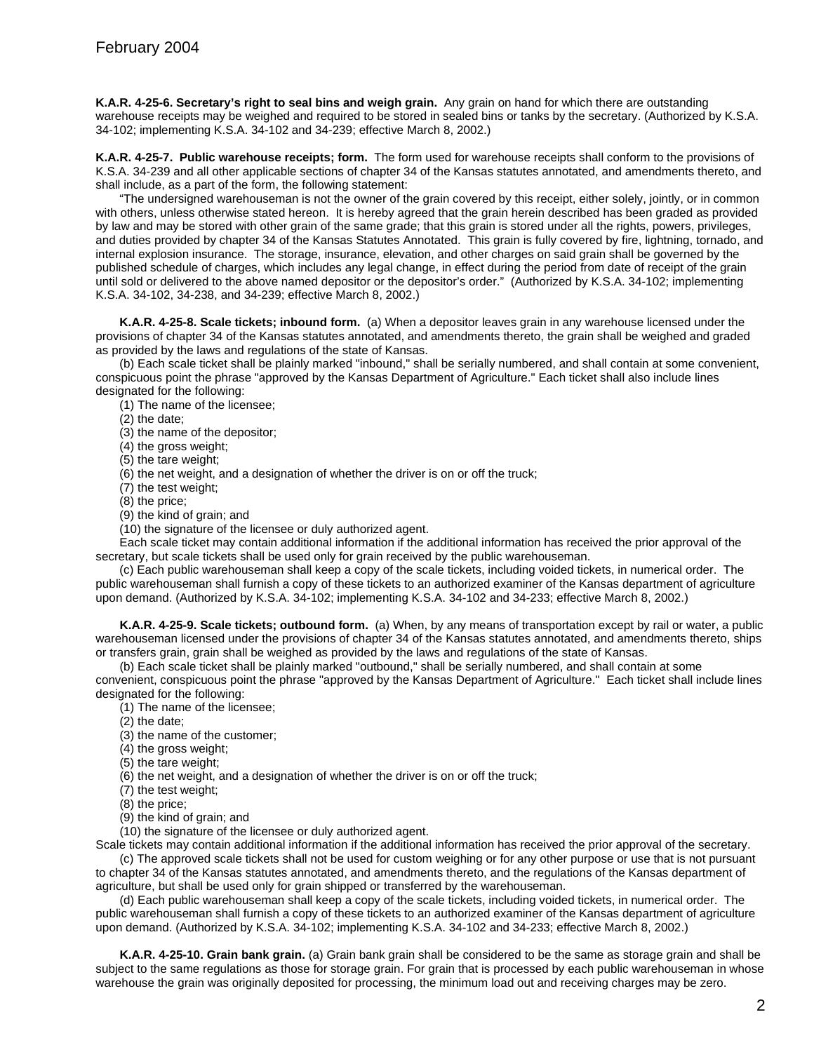**K.A.R. 4-25-6. Secretary's right to seal bins and weigh grain.** Any grain on hand for which there are outstanding warehouse receipts may be weighed and required to be stored in sealed bins or tanks by the secretary. (Authorized by K.S.A. 34-102; implementing K.S.A. 34-102 and 34-239; effective March 8, 2002.)

**K.A.R. 4-25-7. Public warehouse receipts; form.** The form used for warehouse receipts shall conform to the provisions of K.S.A. 34-239 and all other applicable sections of chapter 34 of the Kansas statutes annotated, and amendments thereto, and shall include, as a part of the form, the following statement:

"The undersigned warehouseman is not the owner of the grain covered by this receipt, either solely, jointly, or in common with others, unless otherwise stated hereon. It is hereby agreed that the grain herein described has been graded as provided by law and may be stored with other grain of the same grade; that this grain is stored under all the rights, powers, privileges, and duties provided by chapter 34 of the Kansas Statutes Annotated. This grain is fully covered by fire, lightning, tornado, and internal explosion insurance. The storage, insurance, elevation, and other charges on said grain shall be governed by the published schedule of charges, which includes any legal change, in effect during the period from date of receipt of the grain until sold or delivered to the above named depositor or the depositor's order." (Authorized by K.S.A. 34-102; implementing K.S.A. 34-102, 34-238, and 34-239; effective March 8, 2002.)

**K.A.R. 4-25-8. Scale tickets; inbound form.** (a) When a depositor leaves grain in any warehouse licensed under the provisions of chapter 34 of the Kansas statutes annotated, and amendments thereto, the grain shall be weighed and graded as provided by the laws and regulations of the state of Kansas.

(b) Each scale ticket shall be plainly marked "inbound," shall be serially numbered, and shall contain at some convenient, conspicuous point the phrase "approved by the Kansas Department of Agriculture." Each ticket shall also include lines designated for the following:

(1) The name of the licensee;

(2) the date;

(3) the name of the depositor;

(4) the gross weight;

(5) the tare weight;

(6) the net weight, and a designation of whether the driver is on or off the truck;

(7) the test weight;

(8) the price;

(9) the kind of grain; and

(10) the signature of the licensee or duly authorized agent.

Each scale ticket may contain additional information if the additional information has received the prior approval of the secretary, but scale tickets shall be used only for grain received by the public warehouseman.

(c) Each public warehouseman shall keep a copy of the scale tickets, including voided tickets, in numerical order. The public warehouseman shall furnish a copy of these tickets to an authorized examiner of the Kansas department of agriculture upon demand. (Authorized by K.S.A. 34-102; implementing K.S.A. 34-102 and 34-233; effective March 8, 2002.)

**K.A.R. 4-25-9. Scale tickets; outbound form.** (a) When, by any means of transportation except by rail or water, a public warehouseman licensed under the provisions of chapter 34 of the Kansas statutes annotated, and amendments thereto, ships or transfers grain, grain shall be weighed as provided by the laws and regulations of the state of Kansas.

(b) Each scale ticket shall be plainly marked "outbound," shall be serially numbered, and shall contain at some convenient, conspicuous point the phrase "approved by the Kansas Department of Agriculture." Each ticket shall include lines designated for the following:

(1) The name of the licensee;

(2) the date;

(3) the name of the customer;

(4) the gross weight;

(5) the tare weight;

(6) the net weight, and a designation of whether the driver is on or off the truck;

(7) the test weight;

(8) the price;

(9) the kind of grain; and

(10) the signature of the licensee or duly authorized agent.

Scale tickets may contain additional information if the additional information has received the prior approval of the secretary. (c) The approved scale tickets shall not be used for custom weighing or for any other purpose or use that is not pursuant to chapter 34 of the Kansas statutes annotated, and amendments thereto, and the regulations of the Kansas department of agriculture, but shall be used only for grain shipped or transferred by the warehouseman.

(d) Each public warehouseman shall keep a copy of the scale tickets, including voided tickets, in numerical order. The public warehouseman shall furnish a copy of these tickets to an authorized examiner of the Kansas department of agriculture upon demand. (Authorized by K.S.A. 34-102; implementing K.S.A. 34-102 and 34-233; effective March 8, 2002.)

**K.A.R. 4-25-10. Grain bank grain.** (a) Grain bank grain shall be considered to be the same as storage grain and shall be subject to the same regulations as those for storage grain. For grain that is processed by each public warehouseman in whose warehouse the grain was originally deposited for processing, the minimum load out and receiving charges may be zero.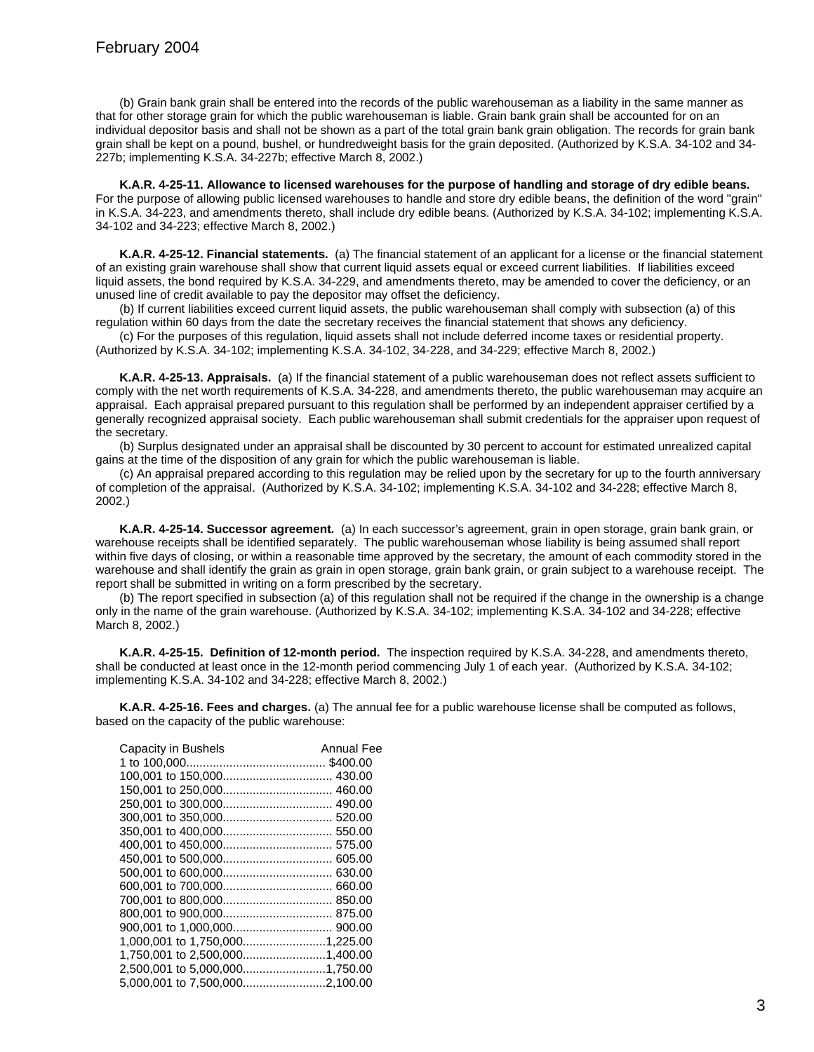(b) Grain bank grain shall be entered into the records of the public warehouseman as a liability in the same manner as that for other storage grain for which the public warehouseman is liable. Grain bank grain shall be accounted for on an individual depositor basis and shall not be shown as a part of the total grain bank grain obligation. The records for grain bank grain shall be kept on a pound, bushel, or hundredweight basis for the grain deposited. (Authorized by K.S.A. 34-102 and 34- 227b; implementing K.S.A. 34-227b; effective March 8, 2002.)

**K.A.R. 4-25-11. Allowance to licensed warehouses for the purpose of handling and storage of dry edible beans.** For the purpose of allowing public licensed warehouses to handle and store dry edible beans, the definition of the word "grain" in K.S.A. 34-223, and amendments thereto, shall include dry edible beans. (Authorized by K.S.A. 34-102; implementing K.S.A. 34-102 and 34-223; effective March 8, 2002.)

**K.A.R. 4-25-12. Financial statements.** (a) The financial statement of an applicant for a license or the financial statement of an existing grain warehouse shall show that current liquid assets equal or exceed current liabilities. If liabilities exceed liquid assets, the bond required by K.S.A. 34-229, and amendments thereto, may be amended to cover the deficiency, or an unused line of credit available to pay the depositor may offset the deficiency.

(b) If current liabilities exceed current liquid assets, the public warehouseman shall comply with subsection (a) of this regulation within 60 days from the date the secretary receives the financial statement that shows any deficiency.

(c) For the purposes of this regulation, liquid assets shall not include deferred income taxes or residential property. (Authorized by K.S.A. 34-102; implementing K.S.A. 34-102, 34-228, and 34-229; effective March 8, 2002.)

**K.A.R. 4-25-13. Appraisals.** (a) If the financial statement of a public warehouseman does not reflect assets sufficient to comply with the net worth requirements of K.S.A. 34-228, and amendments thereto, the public warehouseman may acquire an appraisal. Each appraisal prepared pursuant to this regulation shall be performed by an independent appraiser certified by a generally recognized appraisal society. Each public warehouseman shall submit credentials for the appraiser upon request of the secretary.

(b) Surplus designated under an appraisal shall be discounted by 30 percent to account for estimated unrealized capital gains at the time of the disposition of any grain for which the public warehouseman is liable.

(c) An appraisal prepared according to this regulation may be relied upon by the secretary for up to the fourth anniversary of completion of the appraisal. (Authorized by K.S.A. 34-102; implementing K.S.A. 34-102 and 34-228; effective March 8, 2002.)

**K.A.R. 4-25-14. Successor agreement.** (a) In each successor's agreement, grain in open storage, grain bank grain, or warehouse receipts shall be identified separately. The public warehouseman whose liability is being assumed shall report within five days of closing, or within a reasonable time approved by the secretary, the amount of each commodity stored in the warehouse and shall identify the grain as grain in open storage, grain bank grain, or grain subject to a warehouse receipt. The report shall be submitted in writing on a form prescribed by the secretary.

(b) The report specified in subsection (a) of this regulation shall not be required if the change in the ownership is a change only in the name of the grain warehouse. (Authorized by K.S.A. 34-102; implementing K.S.A. 34-102 and 34-228; effective March 8, 2002.)

**K.A.R. 4-25-15. Definition of 12-month period.** The inspection required by K.S.A. 34-228, and amendments thereto, shall be conducted at least once in the 12-month period commencing July 1 of each year. (Authorized by K.S.A. 34-102; implementing K.S.A. 34-102 and 34-228; effective March 8, 2002.)

**K.A.R. 4-25-16. Fees and charges.** (a) The annual fee for a public warehouse license shall be computed as follows, based on the capacity of the public warehouse:

| Capacity in Bushels            | <b>Annual Fee</b> |
|--------------------------------|-------------------|
|                                |                   |
|                                |                   |
|                                |                   |
|                                |                   |
|                                |                   |
|                                |                   |
|                                |                   |
|                                |                   |
|                                |                   |
|                                |                   |
|                                |                   |
|                                |                   |
|                                |                   |
|                                |                   |
|                                |                   |
| 2,500,001 to 5,000,0001,750.00 |                   |
| 5,000,001 to 7,500,0002,100.00 |                   |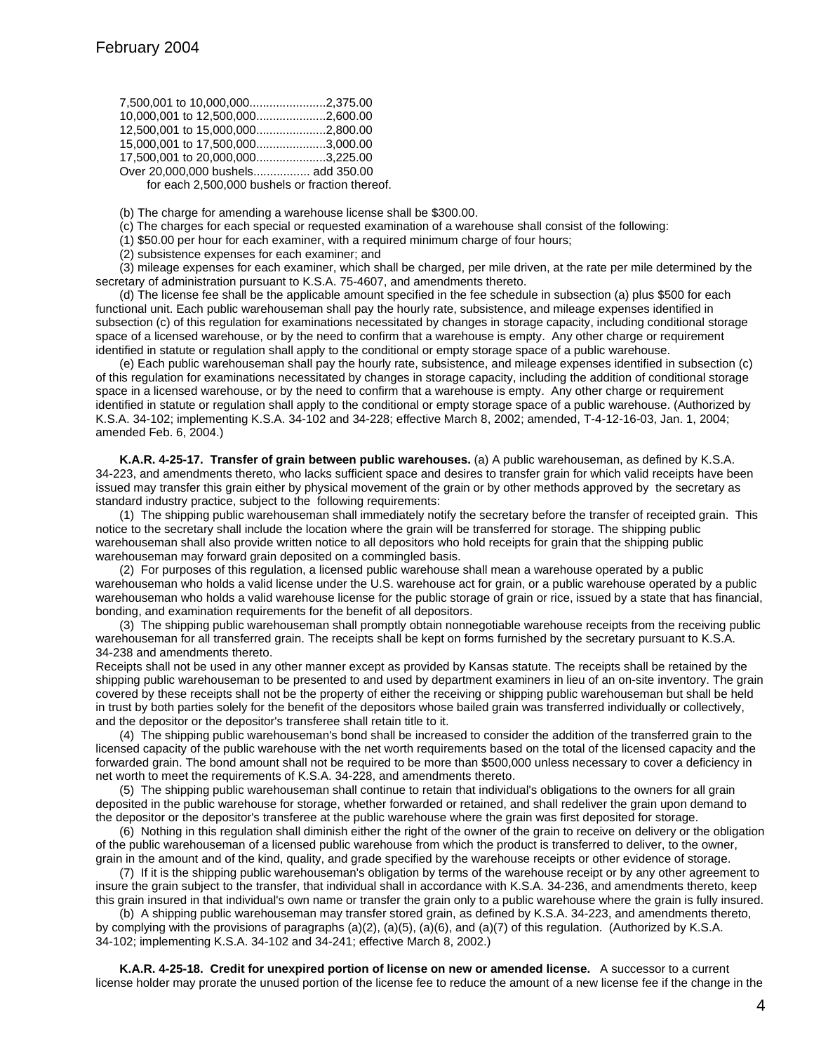| 10.000.001 to 12,500,0002,600.00                |  |
|-------------------------------------------------|--|
| 12,500,001 to 15,000,0002,800.00                |  |
| 15.000.001 to 17,500,0003,000.00                |  |
| 17,500,001 to 20,000,0003,225.00                |  |
| Over 20,000,000 bushels add 350.00              |  |
| for each 2,500,000 bushels or fraction thereof. |  |

(b) The charge for amending a warehouse license shall be \$300.00.

(c) The charges for each special or requested examination of a warehouse shall consist of the following:

(1) \$50.00 per hour for each examiner, with a required minimum charge of four hours;

(2) subsistence expenses for each examiner; and

(3) mileage expenses for each examiner, which shall be charged, per mile driven, at the rate per mile determined by the secretary of administration pursuant to K.S.A. 75-4607, and amendments thereto.

(d) The license fee shall be the applicable amount specified in the fee schedule in subsection (a) plus \$500 for each functional unit. Each public warehouseman shall pay the hourly rate, subsistence, and mileage expenses identified in subsection (c) of this regulation for examinations necessitated by changes in storage capacity, including conditional storage space of a licensed warehouse, or by the need to confirm that a warehouse is empty. Any other charge or requirement identified in statute or regulation shall apply to the conditional or empty storage space of a public warehouse.

(e) Each public warehouseman shall pay the hourly rate, subsistence, and mileage expenses identified in subsection (c) of this regulation for examinations necessitated by changes in storage capacity, including the addition of conditional storage space in a licensed warehouse, or by the need to confirm that a warehouse is empty. Any other charge or requirement identified in statute or regulation shall apply to the conditional or empty storage space of a public warehouse. (Authorized by K.S.A. 34-102; implementing K.S.A. 34-102 and 34-228; effective March 8, 2002; amended, T-4-12-16-03, Jan. 1, 2004; amended Feb. 6, 2004.)

**K.A.R. 4-25-17. Transfer of grain between public warehouses.** (a) A public warehouseman, as defined by K.S.A. 34-223, and amendments thereto, who lacks sufficient space and desires to transfer grain for which valid receipts have been issued may transfer this grain either by physical movement of the grain or by other methods approved by the secretary as standard industry practice, subject to the following requirements:

(1) The shipping public warehouseman shall immediately notify the secretary before the transfer of receipted grain. This notice to the secretary shall include the location where the grain will be transferred for storage. The shipping public warehouseman shall also provide written notice to all depositors who hold receipts for grain that the shipping public warehouseman may forward grain deposited on a commingled basis.

(2) For purposes of this regulation, a licensed public warehouse shall mean a warehouse operated by a public warehouseman who holds a valid license under the U.S. warehouse act for grain, or a public warehouse operated by a public warehouseman who holds a valid warehouse license for the public storage of grain or rice, issued by a state that has financial, bonding, and examination requirements for the benefit of all depositors.

(3) The shipping public warehouseman shall promptly obtain nonnegotiable warehouse receipts from the receiving public warehouseman for all transferred grain. The receipts shall be kept on forms furnished by the secretary pursuant to K.S.A. 34-238 and amendments thereto.

Receipts shall not be used in any other manner except as provided by Kansas statute. The receipts shall be retained by the shipping public warehouseman to be presented to and used by department examiners in lieu of an on-site inventory. The grain covered by these receipts shall not be the property of either the receiving or shipping public warehouseman but shall be held in trust by both parties solely for the benefit of the depositors whose bailed grain was transferred individually or collectively, and the depositor or the depositor's transferee shall retain title to it.

(4) The shipping public warehouseman's bond shall be increased to consider the addition of the transferred grain to the licensed capacity of the public warehouse with the net worth requirements based on the total of the licensed capacity and the forwarded grain. The bond amount shall not be required to be more than \$500,000 unless necessary to cover a deficiency in net worth to meet the requirements of K.S.A. 34-228, and amendments thereto.

(5) The shipping public warehouseman shall continue to retain that individual's obligations to the owners for all grain deposited in the public warehouse for storage, whether forwarded or retained, and shall redeliver the grain upon demand to the depositor or the depositor's transferee at the public warehouse where the grain was first deposited for storage.

(6) Nothing in this regulation shall diminish either the right of the owner of the grain to receive on delivery or the obligation of the public warehouseman of a licensed public warehouse from which the product is transferred to deliver, to the owner, grain in the amount and of the kind, quality, and grade specified by the warehouse receipts or other evidence of storage.

(7) If it is the shipping public warehouseman's obligation by terms of the warehouse receipt or by any other agreement to insure the grain subject to the transfer, that individual shall in accordance with K.S.A. 34-236, and amendments thereto, keep this grain insured in that individual's own name or transfer the grain only to a public warehouse where the grain is fully insured.

(b) A shipping public warehouseman may transfer stored grain, as defined by K.S.A. 34-223, and amendments thereto, by complying with the provisions of paragraphs (a)(2), (a)(5), (a)(6), and (a)(7) of this regulation. (Authorized by K.S.A. 34-102; implementing K.S.A. 34-102 and 34-241; effective March 8, 2002.)

**K.A.R. 4-25-18. Credit for unexpired portion of license on new or amended license.** A successor to a current license holder may prorate the unused portion of the license fee to reduce the amount of a new license fee if the change in the